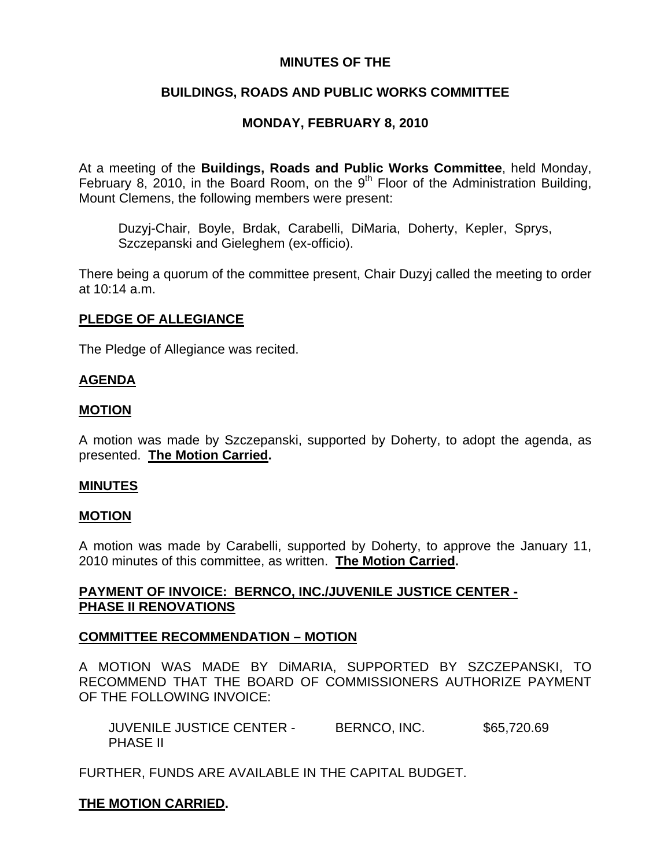## **MINUTES OF THE**

## **BUILDINGS, ROADS AND PUBLIC WORKS COMMITTEE**

# **MONDAY, FEBRUARY 8, 2010**

At a meeting of the **Buildings, Roads and Public Works Committee**, held Monday, February 8, 2010, in the Board Room, on the  $9<sup>th</sup>$  Floor of the Administration Building, Mount Clemens, the following members were present:

Duzyj-Chair, Boyle, Brdak, Carabelli, DiMaria, Doherty, Kepler, Sprys, Szczepanski and Gieleghem (ex-officio).

There being a quorum of the committee present, Chair Duzyj called the meeting to order at 10:14 a.m.

## **PLEDGE OF ALLEGIANCE**

The Pledge of Allegiance was recited.

#### **AGENDA**

#### **MOTION**

A motion was made by Szczepanski, supported by Doherty, to adopt the agenda, as presented. **The Motion Carried.** 

#### **MINUTES**

#### **MOTION**

A motion was made by Carabelli, supported by Doherty, to approve the January 11, 2010 minutes of this committee, as written. **The Motion Carried.** 

## **PAYMENT OF INVOICE: BERNCO, INC./JUVENILE JUSTICE CENTER - PHASE II RENOVATIONS**

#### **COMMITTEE RECOMMENDATION – MOTION**

A MOTION WAS MADE BY DiMARIA, SUPPORTED BY SZCZEPANSKI, TO RECOMMEND THAT THE BOARD OF COMMISSIONERS AUTHORIZE PAYMENT OF THE FOLLOWING INVOICE:

JUVENILE JUSTICE CENTER - BERNCO, INC. \$65,720.69 PHASE II

FURTHER, FUNDS ARE AVAILABLE IN THE CAPITAL BUDGET.

## **THE MOTION CARRIED.**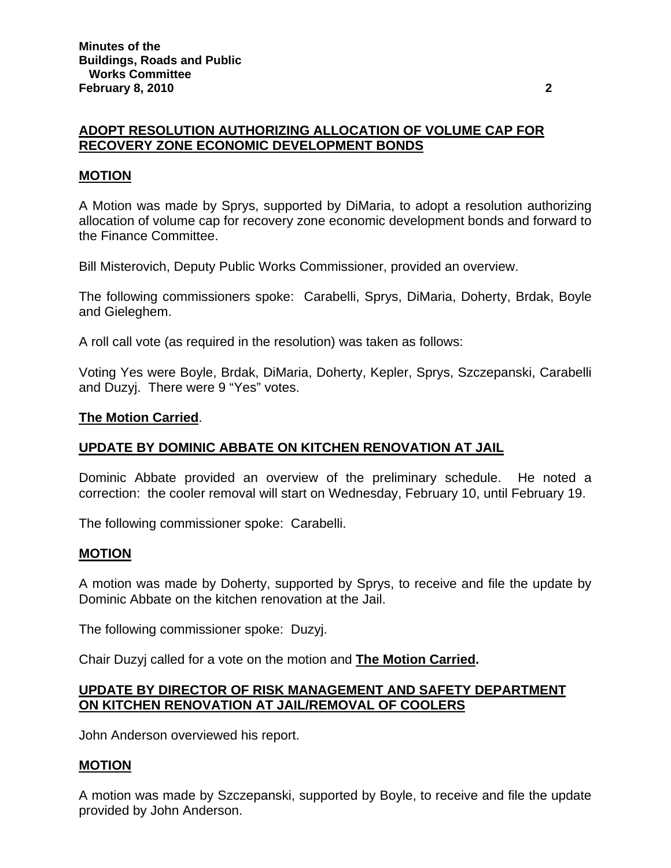### **ADOPT RESOLUTION AUTHORIZING ALLOCATION OF VOLUME CAP FOR RECOVERY ZONE ECONOMIC DEVELOPMENT BONDS**

## **MOTION**

A Motion was made by Sprys, supported by DiMaria, to adopt a resolution authorizing allocation of volume cap for recovery zone economic development bonds and forward to the Finance Committee.

Bill Misterovich, Deputy Public Works Commissioner, provided an overview.

The following commissioners spoke: Carabelli, Sprys, DiMaria, Doherty, Brdak, Boyle and Gieleghem.

A roll call vote (as required in the resolution) was taken as follows:

Voting Yes were Boyle, Brdak, DiMaria, Doherty, Kepler, Sprys, Szczepanski, Carabelli and Duzyj. There were 9 "Yes" votes.

#### **The Motion Carried**.

## **UPDATE BY DOMINIC ABBATE ON KITCHEN RENOVATION AT JAIL**

Dominic Abbate provided an overview of the preliminary schedule. He noted a correction: the cooler removal will start on Wednesday, February 10, until February 19.

The following commissioner spoke: Carabelli.

#### **MOTION**

A motion was made by Doherty, supported by Sprys, to receive and file the update by Dominic Abbate on the kitchen renovation at the Jail.

The following commissioner spoke: Duzyj.

Chair Duzyj called for a vote on the motion and **The Motion Carried.**

### **UPDATE BY DIRECTOR OF RISK MANAGEMENT AND SAFETY DEPARTMENT ON KITCHEN RENOVATION AT JAIL/REMOVAL OF COOLERS**

John Anderson overviewed his report.

## **MOTION**

A motion was made by Szczepanski, supported by Boyle, to receive and file the update provided by John Anderson.